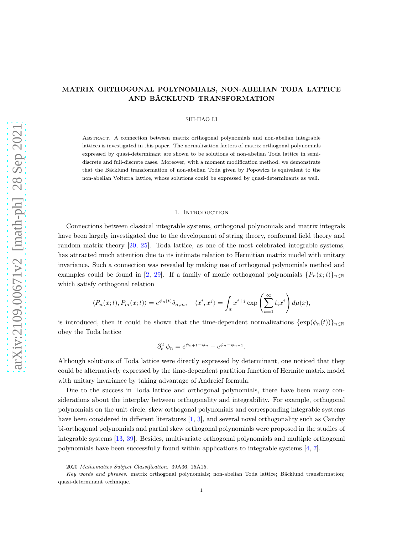# MATRIX ORTHOGONAL POLYNOMIALS, NON-ABELIAN TODA LATTICE AND BÄCKLUND TRANSFORMATION

SHI-HAO LI

Abstract. A connection between matrix orthogonal polynomials and non-abelian integrable lattices is investigated in this paper. The normalization factors of matrix orthogonal polynomials expressed by quasi-determinant are shown to be solutions of non-abelian Toda lattice in semidiscrete and full-discrete cases. Moreover, with a moment modification method, we demonstrate that the Bäcklund transformation of non-abelian Toda given by Popowicz is equivalent to the non-abelian Volterra lattice, whose solutions could be expressed by quasi-determinants as well.

# 1. Introduction

Connections between classical integrable systems, orthogonal polynomials and matrix integrals have been largely investigated due to the development of string theory, conformal field theory and random matrix theory [\[20,](#page-19-0) [25\]](#page-19-1). Toda lattice, as one of the most celebrated integrable systems, has attracted much attention due to its intimate relation to Hermitian matrix model with unitary invariance. Such a connection was revealed by making use of orthogonal polynomials method and examples could be found in [\[2](#page-18-0), [29](#page-19-2)]. If a family of monic orthogonal polynomials  ${P_n(x,t)}_{n\in\mathbb{N}}$ which satisfy orthogonal relation

$$
\langle P_n(x;t), P_m(x;t) \rangle = e^{\phi_n(t)} \delta_{n,m}, \quad \langle x^i, x^j \rangle = \int_{\mathbb{R}} x^{i+j} \exp\left(\sum_{k=1}^{\infty} t_i x^i\right) d\mu(x),
$$

is introduced, then it could be shown that the time-dependent normalizations  $\{\exp(\phi_n(t))\}_{n\in\mathbb{N}}$ obey the Toda lattice

$$
\partial_{t_1}^2 \phi_n = e^{\phi_{n+1} - \phi_n} - e^{\phi_n - \phi_{n-1}}.
$$

Although solutions of Toda lattice were directly expressed by determinant, one noticed that they could be alternatively expressed by the time-dependent partition function of Hermite matrix model with unitary invariance by taking advantage of Andreiéf formula.

Due to the success in Toda lattice and orthogonal polynomials, there have been many considerations about the interplay between orthogonality and integrability. For example, orthogonal polynomials on the unit circle, skew orthogonal polynomials and corresponding integrable systems have been considered in different literatures [\[1,](#page-18-1) [3\]](#page-18-2), and several novel orthogonality such as Cauchy bi-orthogonal polynomials and partial skew orthogonal polynomials were proposed in the studies of integrable systems [\[13,](#page-19-3) [39\]](#page-20-0). Besides, multivariate orthogonal polynomials and multiple orthogonal polynomials have been successfully found within applications to integrable systems [\[4,](#page-18-3) [7\]](#page-19-4).

<sup>2020</sup> Mathematics Subject Classification. 39A36, 15A15.

Key words and phrases. matrix orthogonal polynomials; non-abelian Toda lattice; Bäcklund transformation; quasi-determinant technique.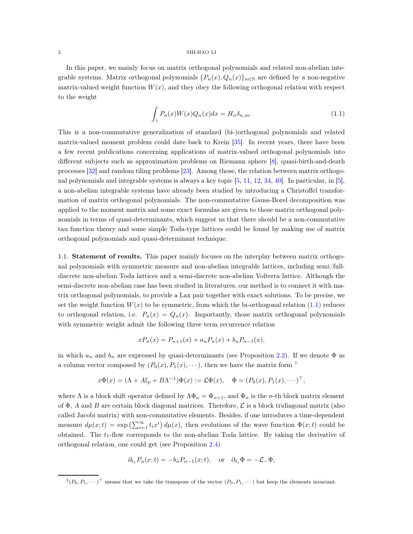In this paper, we mainly focus on matrix orthogonal polynomials and related non-abelian integrable systems. Matrix orthogonal polynomials  $\{P_n(x), Q_n(x)\}_{n\in\mathbb{N}}$  are defined by a non-negative matrix-valued weight function  $W(x)$ , and they obey the following orthogonal relation with respect to the weight

<span id="page-1-0"></span>
$$
\int_{\gamma} P_n(x)W(x)Q_n(x)dx = H_n \delta_{n,m}.
$$
\n(1.1)

This is a non-commutative generalization of standard (bi-)orthogonal polynomials and related matrix-valued moment problem could date back to Krein [\[35\]](#page-20-1). In recent years, there have been a few recent publications concerning applications of matrix-valued orthogonal polynomials into different subjects such as approximation problems on Riemann sphere [\[8\]](#page-19-5), quasi-birth-and-death processes [\[32](#page-20-2)] and random tiling problems [\[23](#page-19-6)]. Among those, the relation between matrix orthogonal polynomials and integrable systems is always a key topic [\[5,](#page-18-4) [11,](#page-19-7) [12](#page-19-8), [34,](#page-20-3) [40](#page-20-4)]. In particular, in [\[5\]](#page-18-4), a non-abelian integrable systems have already been studied by introducing a Christoffel transformation of matrix orthogonal polynomials. The non-commutative Gauss-Borel decomposition was applied to the moment matrix and some exact formulas are given to those matrix orthogonal polynomials in terms of quasi-determinants, which suggest us that there should be a non-commutative tau function theory and some simple Toda-type lattices could be found by making use of matrix orthogonal polynomials and quasi-determinant technique.

1.1. Statement of results. This paper mainly focuses on the interplay between matrix orthogonal polynomials with symmetric measure and non-abelian integrable lattices, including semi/fulldiscrete non-abelian Toda lattices and a semi-discrete non-abelian Volterra lattice. Although the semi-discrete non-abelian case has been studied in literatures, our method is to connect it with matrix orthogonal polynomials, to provide a Lax pair together with exact solutions. To be precise, we set the weight function  $W(x)$  to be symmetric, from which the bi-orthogonal relation  $(1.1)$  reduces to orthogonal relation, i.e.  $P_n(x) = Q_n(x)$ . Importantly, those matrix orthogonal polynomials with symmetric weight admit the following three term recurrence relation

$$
xP_n(x) = P_{n+1}(x) + a_n P_n(x) + b_n P_{n-1}(x),
$$

in which  $a_n$  and  $b_n$  are expressed by quasi-determinants (see Proposition [2.2\)](#page-6-0). If we denote  $\Phi$  as a column vector composed by  $(P_0(x), P_1(x), \cdots)$  $(P_0(x), P_1(x), \cdots)$  $(P_0(x), P_1(x), \cdots)$ , then we have the matrix form <sup>1</sup>

$$
x\Phi(x) = (\Lambda + A\mathbb{I}_p + B\Lambda^{-1})\Phi(x) := \mathcal{L}\Phi(x), \quad \Phi = (P_0(x), P_1(x), \cdots)^\top,
$$

where  $\Lambda$  is a block shift operator defined by  $\Lambda \Phi_n = \Phi_{n+1}$ , and  $\Phi_n$  is the n-th block matrix element of  $\Phi$ , A and B are certain block diagonal matrices. Therefore,  $\mathcal L$  is a block tridiagonal matrix (also called Jacobi matrix) with non-commutative elements. Besides, if one introduces a time-dependent measure  $d\mu(x;t) = \exp\left(\sum_{i=1}^{\infty} t_i x^i\right) d\mu(x)$ , then evolutions of the wave function  $\Phi(x;t)$  could be obtained. The  $t_1$ -flow corresponds to the non-abelian Toda lattice. By taking the derivative of orthogonal relation, one could get (see Proposition [2.4\)](#page-7-0)

$$
\partial_{t_1} P_n(x;t) = -b_n P_{n-1}(x;t)
$$
, or  $\partial_{t_1} \Phi = -\mathcal{L}_- \Phi$ ,

<span id="page-1-1"></span> $(1(P_0, P_1, \dots)^\top$  means that we take the transpose of the vector  $(P_0, P_1, \dots)$  but keep the elements invariant.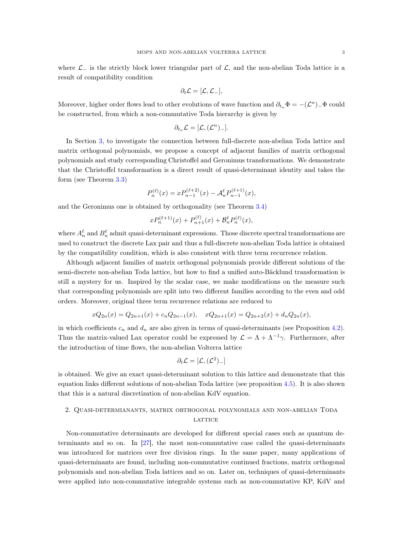where  $\mathcal{L}_-$  is the strictly block lower triangular part of  $\mathcal{L}$ , and the non-abelian Toda lattice is a result of compatibility condition

$$
\partial_t \mathcal{L} = [\mathcal{L}, \mathcal{L}_-],
$$

Moreover, higher order flows lead to other evolutions of wave function and  $\partial_{t_n} \Phi = -(\mathcal{L}^n)$   $\Phi$  could be constructed, from which a non-commutative Toda hierarchy is given by

$$
\partial_{t_n}\mathcal{L}=[\mathcal{L},(\mathcal{L}^n)_-].
$$

In Section [3,](#page-10-0) to investigate the connection between full-discrete non-abelian Toda lattice and matrix orthogonal polynomials, we propose a concept of adjacent families of matrix orthogonal polynomials and study corresponding Christoffel and Geronimus transformations. We demonstrate that the Christoffel transformation is a direct result of quasi-determinant identity and takes the form (see Theorem [3.3\)](#page-11-0)

$$
P_n^{(\ell)}(x) = x P_{n-1}^{(\ell+2)}(x) - A_n^{\ell} P_{n-1}^{(\ell+1)}(x),
$$

and the Geronimus one is obtained by orthogonality (see Theorem [3.4\)](#page-12-0)

$$
x P_n^{(\ell+1)}(x) + P_{n+1}^{(\ell)}(x) + \mathcal{B}_n^{\ell} P_n^{(\ell)}(x),
$$

where  $A_n^{\ell}$  and  $B_n^{\ell}$  admit quasi-determinant expressions. Those discrete spectral transformations are used to construct the discrete Lax pair and thus a full-discrete non-abelian Toda lattice is obtained by the compatibility condition, which is also consistent with three term recurrence relation.

Although adjacent families of matrix orthogonal polynomials provide different solutions of the semi-discrete non-abelian Toda lattice, but how to find a unified auto-Bäcklund transformation is still a mystery for us. Inspired by the scalar case, we make modifications on the measure such that corresponding polynomials are split into two different families according to the even and odd orders. Moreover, original three term recurrence relations are reduced to

$$
xQ_{2n}(x) = Q_{2n+1}(x) + c_n Q_{2n-1}(x), \quad xQ_{2n+1}(x) = Q_{2n+2}(x) + d_n Q_{2n}(x),
$$

in which coefficients  $c_n$  and  $d_n$  are also given in terms of quasi-determinants (see Proposition [4.2\)](#page-15-0). Thus the matrix-valued Lax operator could be expressed by  $\mathcal{L} = \Lambda + \Lambda^{-1}\gamma$ . Furthermore, after the introduction of time flows, the non-abelian Volterra lattice

$$
\partial_t \mathcal{L} = [\mathcal{L}, (\mathcal{L}^2)_-]
$$

is obtained. We give an exact quasi-determinant solution to this lattice and demonstrate that this equation links different solutions of non-abelian Toda lattice (see proposition [4.5\)](#page-17-0). It is also shown that this is a natural discretization of non-abelian KdV equation.

# 2. Quasi-determianants, matrix orthogonal polynomials and non-abelian Toda LATTICE

Non-commutative determinants are developed for different special cases such as quantum determinants and so on. In [\[27\]](#page-19-9), the most non-commutative case called the quasi-determinants was introduced for matrices over free division rings. In the same paper, many applications of quasi-determinants are found, including non-commutative continued fractions, matrix orthogonal polynomials and non-abelian Toda lattices and so on. Later on, techniques of quasi-determinants were applied into non-commutative integrable systems such as non-commutative KP, KdV and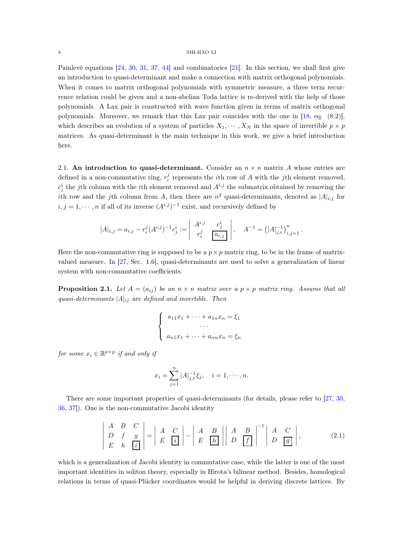Painlevé equations [\[24](#page-19-10), [30,](#page-20-5) [31](#page-20-6), [37,](#page-20-7) [44](#page-20-8)] and combinatorics [\[21\]](#page-19-11). In this section, we shall first give an introduction to quasi-determinant and make a connection with matrix orthogonal polynomials. When it comes to matrix orthogonal polynomials with symmetric measure, a three term recurrence relation could be given and a non-abelian Toda lattice is re-derived with the help of those polynomials. A Lax pair is constructed with wave function given in terms of matrix orthogonal polynomials. Moreover, we remark that this Lax pair coincides with the one in [\[18](#page-19-12), eq. (8.2)], which describes an evolution of a system of particles  $X_1, \dots, X_N$  in the space of invertible  $p \times p$ matrices. As quasi-determinant is the main technique in this work, we give a brief introduction here.

2.1. An introduction to quasi-determinant. Consider an  $n \times n$  matrix A whose entries are defined in a non-commutative ring,  $r_i^j$  represents the *i*th row of A with the *j*th element removed,  $c_j^i$  the jth column with the *i*th element removed and  $A^{i,j}$  the submatrix obtained by removing the ith row and the j<sup>th</sup> column from A, then there are  $n^2$  quasi-determinants, denoted as  $|A|_{i,j}$  for  $i, j = 1, \dots, n$  if all of its inverse  $(A^{i,j})^{-1}$  exist, and recursively defined by

$$
|A|_{i,j} = a_{i,j} - r_i^j (A^{i,j})^{-1} c_j^i := \begin{vmatrix} A^{i,j} & c_j^i \\ r_i^j & \boxed{a_{i,j}} \end{vmatrix}, \quad A^{-1} = (|A|_{j,i}^{-1})_{i,j=1}^n.
$$

Here the non-commutative ring is supposed to be a  $p \times p$  matrix ring, to be in the frame of matrixvalued measure. In [\[27](#page-19-9), Sec. 1.6], quasi-determinants are used to solve a generalization of linear system with non-commutative coefficients.

<span id="page-3-0"></span>**Proposition 2.1.** Let  $A = (a_{ij})$  be an  $n \times n$  matrix over a  $p \times p$  matrix ring. Assume that all quasi-determinants  $|A|_{ij}$  are defined and invertible. Then

$$
\begin{cases}\na_{11}x_1 + \cdots + a_{1n}x_n = \xi_1 \\
\cdots \\
a_{n1}x_1 + \cdots + a_{nn}x_n = \xi_n\n\end{cases}
$$

for some  $x_i \in \mathbb{R}^{p \times p}$  if and only if

<span id="page-3-1"></span>
$$
x_i = \sum_{j=1}^n |A|_{j,i}^{-1} \xi_j, \quad i = 1, \cdots, n.
$$

There are some important properties of quasi-determinants (for details, please refer to [\[27](#page-19-9), [30,](#page-20-5) [36](#page-20-9), [37](#page-20-7)]). One is the non-commutative Jacobi identity

$$
\begin{vmatrix} A & B & C \\ D & f & g \\ E & h & \overline{[i]} \end{vmatrix} = \begin{vmatrix} A & C \\ E & \overline{[i]} \end{vmatrix} - \begin{vmatrix} A & B \\ E & \overline{[h]} \end{vmatrix} \begin{vmatrix} A & B \\ D & \overline{[f]} \end{vmatrix}^{-1} \begin{vmatrix} A & C \\ D & \overline{[g]} \end{vmatrix},
$$
(2.1)

which is a generalization of Jacobi identity in commutative case, while the latter is one of the most important identities in soliton theory, especially in Hirota's bilinear method. Besides, homological relations in terms of quasi-Plücker coordinates would be helpful in deriving discrete lattices. By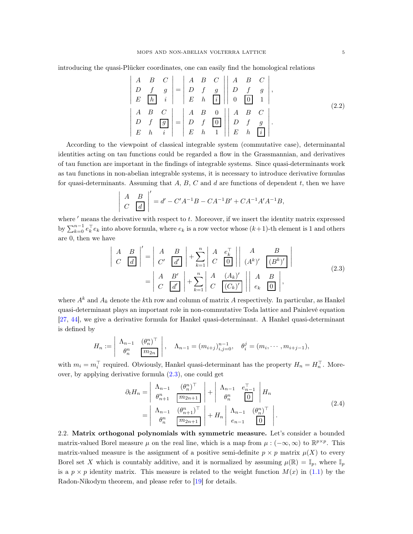introducing the quasi-Plücker coordinates, one can easily find the homological relations

<span id="page-4-2"></span>
$$
\begin{vmatrix}\nA & B & C \\
D & f & g \\
E & h & i\n\end{vmatrix} =\n\begin{vmatrix}\nA & B & C \\
D & f & g \\
E & h & i\n\end{vmatrix}\n\begin{vmatrix}\nA & B & C \\
D & f & g \\
0 & 0 & 1\n\end{vmatrix},
$$
\n
$$
\begin{vmatrix}\nA & B & C \\
A & B & C \\
D & f & g \\
E & h & i\n\end{vmatrix} =\n\begin{vmatrix}\nA & B & 0 \\
D & f & 0 \\
E & h & 1\n\end{vmatrix}\n\begin{vmatrix}\nA & B & C \\
D & f & g \\
E & h & i\n\end{vmatrix}.
$$
\n(2.2)

According to the viewpoint of classical integrable system (commutative case), determinantal identities acting on tau functions could be regarded a flow in the Grassmannian, and derivatives of tau function are important in the findings of integrable systems. Since quasi-determinants work as tau functions in non-abelian integrable systems, it is necessary to introduce derivative formulas for quasi-determinants. Assuming that  $A, B, C$  and  $d$  are functions of dependent  $t$ , then we have

$$
\left| \begin{array}{cc} A & B \\ C & \boxed{d} \end{array} \right|' = d' - C'A^{-1}B - CA^{-1}B' + CA^{-1}A'A^{-1}B,
$$

where ' means the derivative with respect to t. Moreover, if we insert the identity matrix expressed by  $\sum_{k=0}^{n-1} e_k^{\top} e_k$  into above formula, where  $e_k$  is a row vector whose  $(k+1)$ -th element is 1 and others are 0, then we have

<span id="page-4-0"></span>
$$
\begin{vmatrix} A & B \\ C & \boxed{d} \end{vmatrix}' = \begin{vmatrix} A & B \\ C' & \boxed{d'} \end{vmatrix} + \sum_{k=1}^{n} \begin{vmatrix} A & e_k^{\top} \\ C & \boxed{0} \end{vmatrix} \begin{vmatrix} A & B \\ (A^k)' & \boxed{(B^k)'} \end{vmatrix}
$$

$$
= \begin{vmatrix} A & B' \\ C & \boxed{d'} \end{vmatrix} + \sum_{k=1}^{n} \begin{vmatrix} A & (A_k)' \\ C & \boxed{(C_k)'} \end{vmatrix} \begin{vmatrix} A & B \\ e_k & \boxed{0} \end{vmatrix},
$$
(2.3)

where  $A^k$  and  $A_k$  denote the kth row and column of matrix A respectively. In particular, as Hankel quasi-determinant plays an important role in non-commutative Toda lattice and Painlevé equation [\[27,](#page-19-9) [44](#page-20-8)], we give a derivative formula for Hankel quasi-determinant. A Hankel quasi-determinant is defined by

$$
H_n := \begin{vmatrix} \Lambda_{n-1} & (\theta_n^n)^\top \\ \theta_n^n & \boxed{m_{2n}} \end{vmatrix}, \quad \Lambda_{n-1} = (m_{i+j})_{i,j=0}^{n-1}, \quad \theta_i^j = (m_i, \cdots, m_{i+j-1}),
$$

with  $m_i = m_i^{\top}$  required. Obviously, Hankel quasi-determinant has the property  $H_n = H_n^{\top}$ . Moreover, by applying derivative formula [\(2.3\)](#page-4-0), one could get

<span id="page-4-1"></span>
$$
\partial_t H_n = \begin{vmatrix} \Lambda_{n-1} & (\theta_n^n)^\top \\ \theta_{n+1}^n & \boxed{m_{2n+1}} \\ \theta_n^n & (\theta_{n+1}^n)^\top \\ \theta_n^n & \boxed{m_{2n+1}} \end{vmatrix} + \begin{vmatrix} \Lambda_{n-1} & e_{n-1}^\top \\ \theta_n^n & \boxed{0} \end{vmatrix} H_n
$$
\n
$$
= \begin{vmatrix} \Lambda_{n-1} & (\theta_{n+1}^n)^\top \\ \theta_n^n & \boxed{m_{2n+1}} \end{vmatrix} + H_n \begin{vmatrix} \Lambda_{n-1} & (\theta_n^n)^\top \\ e_{n-1} & \boxed{0} \end{vmatrix}.
$$
\n(2.4)

2.2. Matrix orthogonal polynomials with symmetric measure. Let's consider a bounded matrix-valued Borel measure  $\mu$  on the real line, which is a map from  $\mu: (-\infty, \infty)$  to  $\mathbb{R}^{p \times p}$ . This matrix-valued measure is the assignment of a positive semi-definite  $p \times p$  matrix  $\mu(X)$  to every Borel set X which is countably additive, and it is normalized by assuming  $\mu(\mathbb{R}) = \mathbb{I}_p$ , where  $\mathbb{I}_p$ is a  $p \times p$  identity matrix. This measure is related to the weight function  $M(x)$  in [\(1.1\)](#page-1-0) by the Radon-Nikodym theorem, and please refer to [\[19\]](#page-19-13) for details.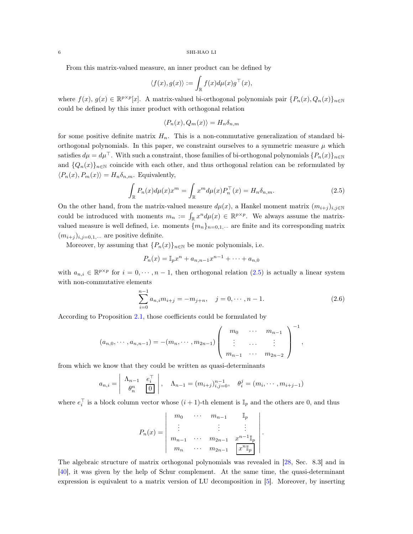From this matrix-valued measure, an inner product can be defined by

$$
\langle f(x), g(x) \rangle := \int_{\mathbb{R}} f(x) d\mu(x) g^{\top}(x),
$$

where  $f(x), g(x) \in \mathbb{R}^{p \times p}[x]$ . A matrix-valued bi-orthogonal polynomials pair  $\{P_n(x), Q_n(x)\}_{n \in \mathbb{N}}$ could be defined by this inner product with orthogonal relation

$$
\langle P_n(x), Q_m(x) \rangle = H_n \delta_{n,m}
$$

for some positive definite matrix  $H_n$ . This is a non-commutative generalization of standard biorthogonal polynomials. In this paper, we constraint ourselves to a symmetric measure  $\mu$  which satisfies  $d\mu = d\mu^{\top}$ . With such a constraint, those families of bi-orthogonal polynomials  $\{P_n(x)\}_{n\in\mathbb{N}}$ and  $\{Q_n(x)\}_{n\in\mathbb{N}}$  coincide with each other, and thus orthogonal relation can be reformulated by  $\langle P_n(x), P_m(x)\rangle = H_n \delta_{n,m}$ . Equivalently,

$$
\int_{\mathbb{R}} P_n(x) d\mu(x) x^m = \int_{\mathbb{R}} x^m d\mu(x) P_n^{\top}(x) = H_n \delta_{n,m}.
$$
\n(2.5)

On the other hand, from the matrix-valued measure  $d\mu(x)$ , a Hankel moment matrix  $(m_{i+j})_{i,j\in\mathbb{N}}$ could be introduced with moments  $m_n := \int_{\mathbb{R}} x^n d\mu(x) \in \mathbb{R}^{p \times p}$ . We always assume the matrixvalued measure is well defined, i.e. moments  $\{m_n\}_{n=0,1,\cdots}$  are finite and its corresponding matrix  $(m_{i+j})_{i,j=0,1,\cdots}$  are positive definite.

Moreover, by assuming that  $\{P_n(x)\}_{n\in\mathbb{N}}$  be monic polynomials, i.e.

$$
P_n(x) = \mathbb{I}_p x^n + a_{n,n-1} x^{n-1} + \dots + a_{n,0}
$$

with  $a_{n,i} \in \mathbb{R}^{p \times p}$  for  $i = 0, \dots, n-1$ , then orthogonal relation  $(2.5)$  is actually a linear system with non-commutative elements

$$
\sum_{i=0}^{n-1} a_{n,i} m_{i+j} = -m_{j+n}, \quad j = 0, \cdots, n-1.
$$
 (2.6)

<span id="page-5-0"></span>,

According to Proposition [2.1,](#page-3-0) those coefficients could be formulated by

$$
(a_{n,0},\cdots,a_{n,n-1})=-(m_n,\cdots,m_{2n-1})\left(\begin{array}{ccc}m_0&\cdots&m_{n-1}\\ \vdots&\cdots&\vdots\\ m_{n-1}&\cdots&m_{2n-2}\end{array}\right)^{-1}
$$

from which we know that they could be written as quasi-determinants

$$
a_{n,i} = \begin{vmatrix} \Lambda_{n-1} & e_i^{\top} \\ \theta_n^n & 0 \end{vmatrix}, \quad \Lambda_{n-1} = (m_{i+j})_{i,j=0}^{n-1}, \quad \theta_i^j = (m_i, \dots, m_{i+j-1})
$$

where  $e_i^{\top}$  is a block column vector whose  $(i + 1)$ -th element is  $\mathbb{I}_p$  and the others are 0, and thus

$$
P_n(x) = \begin{vmatrix} m_0 & \cdots & m_{n-1} & \mathbb{I}_p \\ \vdots & & \vdots & \vdots \\ m_{n-1} & \cdots & m_{2n-1} & x^{n-1} \mathbb{I}_p \\ m_n & \cdots & m_{2n-1} & x^{n} \mathbb{I}_p \end{vmatrix}.
$$

The algebraic structure of matrix orthogonal polynomials was revealed in [\[28,](#page-19-14) Sec. 8.3] and in [\[40\]](#page-20-4), it was given by the help of Schur complement. At the same time, the quasi-determinant expression is equivalent to a matrix version of LU decomposition in [\[5\]](#page-18-4). Moreover, by inserting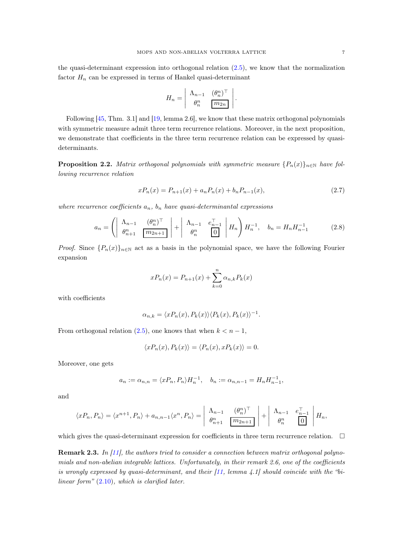the quasi-determinant expression into orthogonal relation [\(2.5\)](#page-5-0), we know that the normalization factor  $H_n$  can be expressed in terms of Hankel quasi-determinant

<span id="page-6-1"></span>
$$
H_n = \begin{vmatrix} \Lambda_{n-1} & (\theta_n^n)^\top \\ \theta_n^n & \boxed{m_{2n}} \end{vmatrix}.
$$

Following [\[45,](#page-20-10) Thm. 3.1] and [\[19](#page-19-13), lemma 2.6], we know that these matrix orthogonal polynomials with symmetric measure admit three term recurrence relations. Moreover, in the next proposition, we demonstrate that coefficients in the three term recurrence relation can be expressed by quasideterminants.

<span id="page-6-0"></span>**Proposition 2.2.** Matrix orthogonal polynomials with symmetric measure  $\{P_n(x)\}_{n\in\mathbb{N}}$  have following recurrence relation

$$
xP_n(x) = P_{n+1}(x) + a_n P_n(x) + b_n P_{n-1}(x),
$$
\n(2.7)

where recurrence coefficients  $a_n$ ,  $b_n$  have quasi-determinantal expressions

$$
a_n = \left( \begin{array}{cc} \Lambda_{n-1} & (\theta_n^n)^\top \\ \theta_{n+1}^n & \boxed{m_{2n+1}} \end{array} \right) + \begin{array}{cc} \Lambda_{n-1} & e_{n-1}^\top \\ \theta_n^n & 0 \end{array} \right) H_n^{-1}, \quad b_n = H_n H_{n-1}^{-1} \tag{2.8}
$$

*Proof.* Since  ${P_n(x)}_{n\in\mathbb{N}}$  act as a basis in the polynomial space, we have the following Fourier expansion

<span id="page-6-2"></span>
$$
xP_n(x) = P_{n+1}(x) + \sum_{k=0}^{n} \alpha_{n,k} P_k(x)
$$

with coefficients

$$
\alpha_{n,k} = \langle x P_n(x), P_k(x) \rangle \langle P_k(x), P_k(x) \rangle^{-1}.
$$

From orthogonal relation  $(2.5)$ , one knows that when  $k < n - 1$ ,

$$
\langle xP_n(x), P_k(x) \rangle = \langle P_n(x), xP_k(x) \rangle = 0.
$$

Moreover, one gets

$$
a_n:=\alpha_{n,n}=\langle xP_n,P_n\rangle H_n^{-1},\quad b_n:=\alpha_{n,n-1}=H_nH_{n-1}^{-1},
$$

and

$$
\langle xP_n, P_n \rangle = \langle x^{n+1}, P_n \rangle + a_{n,n-1} \langle x^n, P_n \rangle = \begin{vmatrix} \Lambda_{n-1} & (\theta_n^n)^\top \\ \theta_{n+1}^n & \boxed{m_{2n+1}} \end{vmatrix} + \begin{vmatrix} \Lambda_{n-1} & e_{n-1}^\top \\ \theta_n^n & \boxed{0} \end{vmatrix} H_n,
$$

which gives the quasi-determinant expression for coefficients in three term recurrence relation.  $\Box$ 

**Remark 2.3.** In  $[11]$ , the authors tried to consider a connection between matrix orthogonal polynomials and non-abelian integrable lattices. Unfortunately, in their remark 2.6, one of the coefficients is wrongly expressed by quasi-determinant, and their  $[11]$ , lemma  $\ddot{4}$ .1] should coincide with the "bilinear form" [\(2.10\)](#page-8-0), which is clarified later.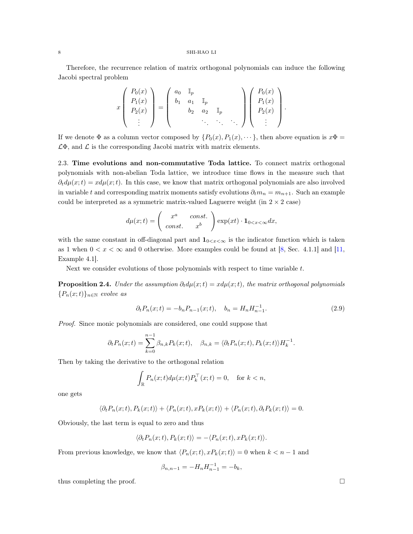Therefore, the recurrence relation of matrix orthogonal polynomials can induce the following Jacobi spectral problem

$$
x\begin{pmatrix}P_0(x)\\P_1(x)\\P_2(x)\\ \vdots\end{pmatrix}=\begin{pmatrix}a_0&\mathbb{I}_p\\b_1&a_1&\mathbb{I}_p\\b_2&a_2&\mathbb{I}_p\\ \vdots\end{pmatrix}\begin{pmatrix}P_0(x)\\P_1(x)\\P_2(x)\\ \vdots\end{pmatrix}
$$

If we denote  $\Phi$  as a column vector composed by  $\{P_0(x), P_1(x), \dots\}$ , then above equation is  $x\Phi =$  $\mathcal{L}\Phi$ , and  $\mathcal L$  is the corresponding Jacobi matrix with matrix elements.

2.3. Time evolutions and non-commutative Toda lattice. To connect matrix orthogonal polynomials with non-abelian Toda lattice, we introduce time flows in the measure such that  $\partial_t d\mu(x;t) = x d\mu(x;t)$ . In this case, we know that matrix orthogonal polynomials are also involved in variable t and corresponding matrix moments satisfy evolutions  $\partial_t m_n = m_{n+1}$ . Such an example could be interpreted as a symmetric matrix-valued Laguerre weight (in  $2 \times 2$  case)

$$
d\mu(x;t) = \begin{pmatrix} x^a & const. \\ const. & x^b \end{pmatrix} \exp(xt) \cdot \mathbf{1}_{0 < x < \infty} dx,
$$

with the same constant in off-diagonal part and  $\mathbf{1}_{0 \leq x \leq \infty}$  is the indicator function which is taken as 1 when  $0 < x < \infty$  and 0 otherwise. More examples could be found at [\[8,](#page-19-5) Sec. 4.1.1] and [\[11,](#page-19-7) Example 4.1].

Next we consider evolutions of those polynomials with respect to time variable  $t$ .

<span id="page-7-0"></span>**Proposition 2.4.** Under the assumption  $\partial_t d\mu(x;t) = x d\mu(x;t)$ , the matrix orthogonal polynomials  ${P_n(x;t)}_{n\in\mathbb{N}}$  evolve as

<span id="page-7-1"></span>
$$
\partial_t P_n(x;t) = -b_n P_{n-1}(x;t), \quad b_n = H_n H_{n-1}^{-1}.
$$
\n(2.9)

.

Proof. Since monic polynomials are considered, one could suppose that

$$
\partial_t P_n(x;t) = \sum_{k=0}^{n-1} \beta_{n,k} P_k(x;t), \quad \beta_{n,k} = \langle \partial_t P_n(x;t), P_k(x;t) \rangle H_k^{-1}.
$$

Then by taking the derivative to the orthogonal relation

$$
\int_{\mathbb{R}} P_n(x;t) d\mu(x;t) P_k^{\top}(x;t) = 0, \text{ for } k < n,
$$

one gets

$$
\langle \partial_t P_n(x;t), P_k(x;t) \rangle + \langle P_n(x;t), x P_k(x;t) \rangle + \langle P_n(x;t), \partial_t P_k(x;t) \rangle = 0.
$$

Obviously, the last term is equal to zero and thus

$$
\langle \partial_t P_n(x;t), P_k(x;t) \rangle = - \langle P_n(x;t), x P_k(x;t) \rangle.
$$

From previous knowledge, we know that  $\langle P_n(x;t), xP_k(x;t)\rangle = 0$  when  $k < n - 1$  and

$$
\beta_{n,n-1} = -H_n H_{n-1}^{-1} = -b_k,
$$

thus completing the proof.  $\square$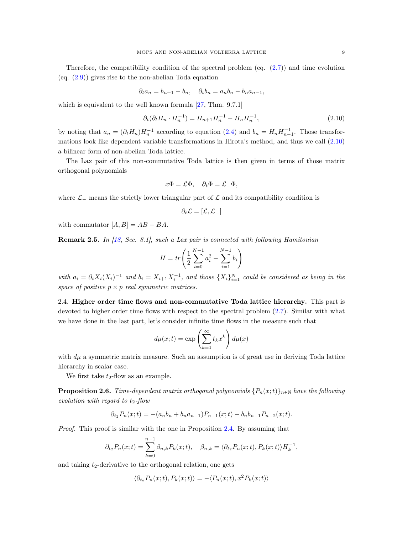Therefore, the compatibility condition of the spectral problem (eq. [\(2.7\)](#page-6-1)) and time evolution (eq.  $(2.9)$ ) gives rise to the non-abelian Toda equation

$$
\partial_t a_n = b_{n+1} - b_n, \quad \partial_t b_n = a_n b_n - b_n a_{n-1},
$$

which is equivalent to the well known formula [\[27](#page-19-9), Thm. 9.7.1]

$$
\partial_t(\partial_t H_n \cdot H_n^{-1}) = H_{n+1} H_n^{-1} - H_n H_{n-1}^{-1} \tag{2.10}
$$

by noting that  $a_n = (\partial_t H_n) H_n^{-1}$  according to equation [\(2.4\)](#page-4-1) and  $b_n = H_n H_{n-1}^{-1}$ . Those transformations look like dependent variable transformations in Hirota's method, and thus we call [\(2.10\)](#page-8-0) a bilinear form of non-abelian Toda lattice.

The Lax pair of this non-commutative Toda lattice is then given in terms of those matrix orthogonal polynomials

$$
x\Phi = \mathcal{L}\Phi, \quad \partial_t \Phi = \mathcal{L}_-\Phi,
$$

where  $\mathcal{L}_-$  means the strictly lower triangular part of  $\mathcal L$  and its compatibility condition is

<span id="page-8-0"></span>
$$
\partial_t \mathcal{L} = [\mathcal{L}, \mathcal{L}_-]
$$

with commutator  $[A, B] = AB - BA$ .

Remark 2.5. In [\[18,](#page-19-12) Sec. 8.1], such a Lax pair is connected with following Hamitonian

$$
H = tr\left(\frac{1}{2}\sum_{i=0}^{N-1} a_i^2 - \sum_{i=1}^{N-1} b_i\right)
$$

with  $a_i = \partial_t X_i (X_i)^{-1}$  and  $b_i = X_{i+1} X_i^{-1}$ , and those  $\{X_i\}_{i=1}^N$  could be considered as being in the space of positive  $p \times p$  real symmetric matrices.

<span id="page-8-1"></span>2.4. Higher order time flows and non-commutative Toda lattice hierarchy. This part is devoted to higher order time flows with respect to the spectral problem [\(2.7\)](#page-6-1). Similar with what we have done in the last part, let's consider infinite time flows in the measure such that

$$
d\mu(x;t) = \exp\left(\sum_{k=1}^{\infty} t_k x^k\right) d\mu(x)
$$

with  $d\mu$  a symmetric matrix measure. Such an assumption is of great use in deriving Toda lattice hierarchy in scalar case.

We first take  $t_2$ -flow as an example.

**Proposition 2.6.** Time-dependent matrix orthogonal polynomials  $\{P_n(x;t)\}_{n\in\mathbb{N}}$  have the following evolution with regard to  $t_2$ -flow

$$
\partial_{t_2} P_n(x;t) = -(a_n b_n + b_n a_{n-1}) P_{n-1}(x;t) - b_n b_{n-1} P_{n-2}(x;t).
$$

Proof. This proof is similar with the one in Proposition [2.4.](#page-7-0) By assuming that

$$
\partial_{t_2} P_n(x;t) = \sum_{k=0}^{n-1} \beta_{n,k} P_k(x;t), \quad \beta_{n,k} = \langle \partial_{t_2} P_n(x;t), P_k(x;t) \rangle H_k^{-1},
$$

and taking  $t_2$ -derivative to the orthogonal relation, one gets

 $\langle \partial_t P_n(x;t), P_k(x;t) \rangle = -\langle P_n(x;t), x^2P_k(x;t) \rangle$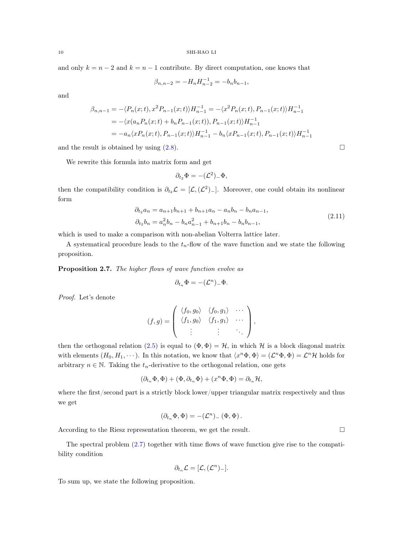and only  $k = n - 2$  and  $k = n - 1$  contribute. By direct computation, one knows that

$$
\beta_{n,n-2} = -H_n H_{n-2}^{-1} = -b_n b_{n-1},
$$

and

$$
\beta_{n,n-1} = -\langle P_n(x;t), x^2 P_{n-1}(x;t) \rangle H_{n-1}^{-1} = -\langle x^2 P_n(x;t), P_{n-1}(x;t) \rangle H_{n-1}^{-1}
$$
  
=  $-\langle x(a_n P_n(x;t) + b_n P_{n-1}(x;t)), P_{n-1}(x;t) \rangle H_{n-1}^{-1}$   
=  $-a_n \langle x P_n(x;t), P_{n-1}(x;t) \rangle H_{n-1}^{-1} - b_n \langle x P_{n-1}(x;t), P_{n-1}(x;t) \rangle H_{n-1}^{-1}$ 

and the result is obtained by using  $(2.8)$ .

We rewrite this formula into matrix form and get

$$
\partial_{t_2}\Phi = -(\mathcal{L}^2)_-\Phi,
$$

then the compatibility condition is  $\partial_{t_2} \mathcal{L} = [\mathcal{L}, (\mathcal{L}^2)_-]$ . Moreover, one could obtain its nonlinear form

$$
\partial_{t_2} a_n = a_{n+1} b_{n+1} + b_{n+1} a_n - a_n b_n - b_n a_{n-1},
$$
  
\n
$$
\partial_{t_2} b_n = a_n^2 b_n - b_n a_{n-1}^2 + b_{n+1} b_n - b_n b_{n-1},
$$
\n(2.11)

which is used to make a comparison with non-abelian Volterra lattice later.

A systematical procedure leads to the  $t_n$ -flow of the wave function and we state the following proposition.

<span id="page-9-1"></span>Proposition 2.7. The higher flows of wave function evolve as

$$
\partial_{t_n}\Phi = -(\mathcal{L}^n)_-\Phi.
$$

Proof. Let's denote

$$
(f,g) = \left( \begin{array}{ccc} \langle f_0, g_0 \rangle & \langle f_0, g_1 \rangle & \cdots \\ \langle f_1, g_0 \rangle & \langle f_1, g_1 \rangle & \cdots \\ \vdots & \vdots & \ddots \end{array} \right),
$$

then the orthogonal relation [\(2.5\)](#page-5-0) is equal to  $(\Phi, \Phi) = \mathcal{H}$ , in which H is a block diagonal matrix with elements  $(H_0, H_1, \dots)$ . In this notation, we know that  $\langle x^n \Phi, \Phi \rangle = (\mathcal{L}^n \Phi, \Phi) = \mathcal{L}^n \mathcal{H}$  holds for arbitrary  $n \in \mathbb{N}$ . Taking the  $t_n$ -derivative to the orthogonal relation, one gets

$$
(\partial_{t_n}\Phi,\Phi) + (\Phi,\partial_{t_n}\Phi) + (x^n\Phi,\Phi) = \partial_{t_n}\mathcal{H},
$$

where the first/second part is a strictly block lower/upper triangular matrix respectively and thus we get

$$
(\partial_{t_n}\Phi,\Phi) = -(\mathcal{L}^n)_-\left(\Phi,\Phi\right).
$$

According to the Riesz representation theorem, we get the result.

The spectral problem [\(2.7\)](#page-6-1) together with time flows of wave function give rise to the compatibility condition

$$
\partial_{t_n}\mathcal{L}=[\mathcal{L},(\mathcal{L}^n)_-].
$$

To sum up, we state the following proposition.

<span id="page-9-0"></span>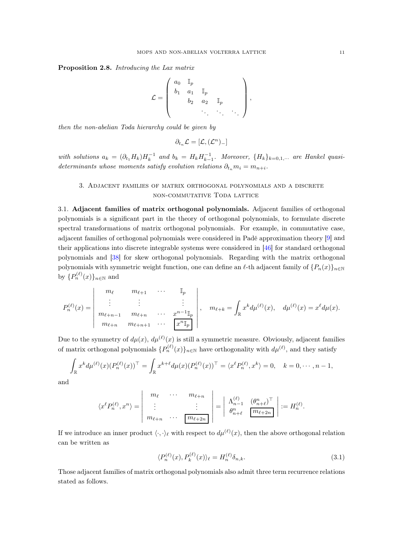Proposition 2.8. Introducing the Lax matrix

$$
\mathcal{L} = \left( \begin{array}{cccc} a_0 & \mathbb{I}_p & & \\ b_1 & a_1 & \mathbb{I}_p & & \\ & b_2 & a_2 & \mathbb{I}_p & \\ & & \ddots & \ddots & \ddots \end{array} \right),
$$

then the non-abelian Toda hierarchy could be given by

$$
\partial_{t_n}\mathcal{L}=[\mathcal{L},(\mathcal{L}^n)_-]
$$

<span id="page-10-0"></span>with solutions  $a_k = (\partial_{t_1} H_k) H_k^{-1}$  and  $b_k = H_k H_{k-1}^{-1}$ . Moreover,  $\{H_k\}_{k=0,1,\cdots}$  are Hankel quasideterminants whose moments satisfy evolution relations  $\partial_{t_n} m_i = m_{n+i}$ .

# 3. Adjacent families of matrix orthogonal polynomials and a discrete non-commutative Toda lattice

3.1. Adjacent families of matrix orthogonal polynomials. Adjacent families of orthogonal polynomials is a significant part in the theory of orthogonal polynomials, to formulate discrete spectral transformations of matrix orthogonal polynomials. For example, in commutative case, adjacent families of orthogonal polynomials were considered in Padé approximation theory [\[9\]](#page-19-15) and their applications into discrete integrable systems were considered in [\[46\]](#page-20-11) for standard orthogonal polynomials and [\[38](#page-20-12)] for skew orthogonal polynomials. Regarding with the matrix orthogonal polynomials with symmetric weight function, one can define an  $\ell$ -th adjacent family of  $\{P_n(x)\}_{n\in\mathbb{N}}$ by  $\{P_n^{(\ell)}(x)\}_{n\in\mathbb{N}}$  and

$$
P_n^{(\ell)}(x) = \begin{vmatrix} m_{\ell} & m_{\ell+1} & \cdots & \mathbb{I}_p \\ \vdots & \vdots & & \vdots \\ m_{\ell+n-1} & m_{\ell+n} & \cdots & x^{n-1} \mathbb{I}_p \\ m_{\ell+n} & m_{\ell+n+1} & \cdots & x^{n-1} \mathbb{I}_p \end{vmatrix}, \quad m_{\ell+k} = \int_{\mathbb{R}} x^k d\mu^{(\ell)}(x), \quad d\mu^{(\ell)}(x) = x^{\ell} d\mu(x).
$$

Due to the symmetry of  $d\mu(x)$ ,  $d\mu^{(\ell)}(x)$  is still a symmetric measure. Obviously, adjacent families of matrix orthogonal polynomials  $\{P_n^{(\ell)}(x)\}_{n\in\mathbb{N}}$  have orthogonality with  $d\mu^{(\ell)}$ , and they satisfy

$$
\int_{\mathbb{R}} x^{k} d\mu^{(\ell)}(x) (P_n^{(\ell)}(x))^{\top} = \int_{\mathbb{R}} x^{k+\ell} d\mu(x) (P_n^{(\ell)}(x))^{\top} = \langle x^{\ell} P_n^{(\ell)}, x^k \rangle = 0, \quad k = 0, \dots, n-1,
$$

and

$$
\langle x^{\ell} P_n^{(\ell)}, x^n \rangle = \begin{vmatrix} m_{\ell} & \cdots & m_{\ell+n} \\ \vdots & & \vdots \\ m_{\ell+n} & \cdots & \boxed{m_{\ell+2n}} \end{vmatrix} = \begin{vmatrix} \Lambda_{n-1}^{(\ell)} & (\theta_{n+\ell}^n)^\top \\ \theta_{n+\ell}^n & \boxed{m_{\ell+2n}} \end{vmatrix} := H_n^{(\ell)}.
$$

If we introduce an inner product  $\langle \cdot, \cdot \rangle_{\ell}$  with respect to  $d\mu^{(\ell)}(x)$ , then the above orthogonal relation can be written as

<span id="page-10-1"></span>
$$
\langle P_n^{(\ell)}(x), P_k^{(\ell)}(x) \rangle_{\ell} = H_n^{(\ell)} \delta_{n,k}.
$$
\n(3.1)

Those adjacent families of matrix orthogonal polynomials also admit three term recurrence relations stated as follows.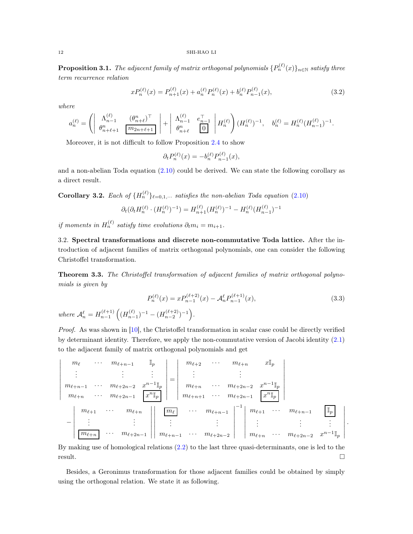**Proposition 3.1.** The adjacent family of matrix orthogonal polynomials  $\{P_n^{(\ell)}(x)\}_{n\in\mathbb{N}}$  satisfy three term recurrence relation

$$
xP_n^{(\ell)}(x) = P_{n+1}^{(\ell)}(x) + a_n^{(\ell)}P_n^{(\ell)}(x) + b_n^{(\ell)}P_{n-1}^{(\ell)}(x),
$$
\n(3.2)

where

$$
a_n^{(\ell)} = \left( \begin{array}{cc} \Lambda_{n-1}^{(\ell)} & (\theta_{n+\ell}^n)^\top \\ \theta_{n+\ell+1}^n & \boxed{m_{2n+\ell+1}} \end{array} \right) + \left. \begin{array}{cc} \Lambda_{n-1}^{(\ell)} & e_{n-1}^\top \\ \theta_{n+\ell}^n & 0 \end{array} \right| H_n^{(\ell)} \right) (H_n^{(\ell)})^{-1}, \quad b_n^{(\ell)} = H_n^{(\ell)} (H_{n-1}^{(\ell)})^{-1}.
$$

Moreover, it is not difficult to follow Proposition [2.4](#page-7-0) to show

<span id="page-11-2"></span><span id="page-11-1"></span>
$$
\partial_t P_n^{(\ell)}(x) = -b_n^{(\ell)} P_{n-1}^{(\ell)}(x),
$$

and a non-abelian Toda equation [\(2.10\)](#page-8-0) could be derived. We can state the following corollary as a direct result.

**Corollary 3.2.** Each of  ${H_n^{(\ell)}}_{\ell=0,1,\cdots}$  satisfies the non-abelian Toda equation [\(2.10\)](#page-8-0)

$$
\partial_t(\partial_t H_n^{(\ell)} \cdot (H_n^{(\ell)})^{-1}) = H_{n+1}^{(\ell)} (H_n^{(\ell)})^{-1} - H_n^{(\ell)} (H_{n-1}^{(\ell)})^{-1}
$$

if moments in  $H_n^{(\ell)}$  satisfy time evolutions  $\partial_t m_i = m_{i+1}$ .

3.2. Spectral transformations and discrete non-commutative Toda lattice. After the introduction of adjacent families of matrix orthogonal polynomials, one can consider the following Christoffel transformation.

<span id="page-11-0"></span>Theorem 3.3. The Christoffel transformation of adjacent families of matrix orthogonal polynomials is given by

$$
P_n^{(\ell)}(x) = x P_{n-1}^{(\ell+2)}(x) - A_n^{\ell} P_{n-1}^{(\ell+1)}(x),
$$
  
\nwhere 
$$
A_n^{\ell} = H_{n-1}^{(\ell+1)} \left( (H_{n-1}^{(\ell)})^{-1} - (H_{n-2}^{(\ell+2)})^{-1} \right).
$$
\n(3.3)

Proof. As was shown in [\[10](#page-19-16)], the Christoffel transformation in scalar case could be directly verified by determinant identity. Therefore, we apply the non-commutative version of Jacobi identity [\(2.1\)](#page-3-1) to the adjacent family of matrix orthogonal polynomials and get



By making use of homological relations [\(2.2\)](#page-4-2) to the last three quasi-determinants, one is led to the  $r$ esult.

Besides, a Geronimus transformation for those adjacent families could be obtained by simply using the orthogonal relation. We state it as following.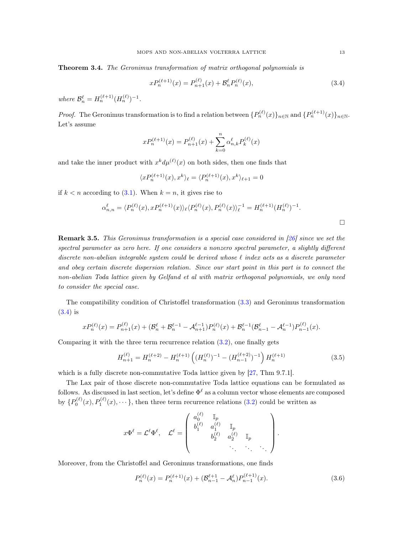<span id="page-12-0"></span>Theorem 3.4. The Geronimus transformation of matrix orthogonal polynomials is

$$
xP_n^{(\ell+1)}(x) = P_{n+1}^{(\ell)}(x) + \mathcal{B}_n^{\ell} P_n^{(\ell)}(x),\tag{3.4}
$$

where  $\mathcal{B}_n^{\ell} = H_n^{(\ell+1)}(H_n^{(\ell)})^{-1}$ .

*Proof.* The Geronimus transformation is to find a relation between  $\{P_n^{(\ell)}(x)\}_{n\in\mathbb{N}}$  and  $\{P_n^{(\ell+1)}(x)\}_{n\in\mathbb{N}}$ . Let's assume

$$
xP_n^{(\ell+1)}(x) = P_{n+1}^{(\ell)}(x) + \sum_{k=0}^n \alpha_{n,k}^{\ell} P_k^{(\ell)}(x)
$$

and take the inner product with  $x^k d\mu^{(\ell)}(x)$  on both sides, then one finds that

$$
\langle x P_n^{(\ell+1)}(x), x^k \rangle_{\ell} = \langle P_n^{(\ell+1)}(x), x^k \rangle_{\ell+1} = 0
$$

if  $k < n$  according to [\(3.1\)](#page-10-1). When  $k = n$ , it gives rise to

$$
\alpha_{n,n}^{\ell} = \langle P_n^{(\ell)}(x), x P_n^{(\ell+1)}(x) \rangle_{\ell} \langle P_n^{(\ell)}(x), P_n^{(\ell)}(x) \rangle_{\ell}^{-1} = H_n^{(\ell+1)}(H_n^{(\ell)})^{-1}.
$$

Remark 3.5. This Geronimus transformation is a special case considered in [\[26](#page-19-17)] since we set the spectral parameter as zero here. If one considers a nonzero spectral parameter, a slightly different discrete non-abelian integrable system could be derived whose  $\ell$  index acts as a discrete parameter and obey certain discrete dispersion relation. Since our start point in this part is to connect the non-abelian Toda lattice given by Gelfand et al with matrix orthogonal polynomials, we only need to consider the special case.

The compatibility condition of Christoffel transformation [\(3.3\)](#page-11-1) and Geronimus transformation [\(3.4\)](#page-12-1) is

$$
xP_n^{(\ell)}(x) = P_{n+1}^{(\ell)}(x) + (\mathcal{B}_n^{\ell} + \mathcal{B}_n^{\ell-1} - \mathcal{A}_{n+1}^{\ell-1})P_n^{(\ell)}(x) + \mathcal{B}_n^{\ell-1}(\mathcal{B}_{n-1}^{\ell} - \mathcal{A}_n^{\ell-1})P_{n-1}^{(\ell)}(x).
$$

Comparing it with the three term recurrence relation  $(3.2)$ , one finally gets

$$
H_{n+1}^{(\ell)} = H_n^{(\ell+2)} - H_n^{(\ell+1)} \left( (H_n^{(\ell)})^{-1} - (H_{n-1}^{(\ell+2)})^{-1} \right) H_n^{(\ell+1)} \tag{3.5}
$$

which is a fully discrete non-commutative Toda lattice given by [\[27,](#page-19-9) Thm 9.7.1].

The Lax pair of those discrete non-commutative Toda lattice equations can be formulated as follows. As discussed in last section, let's define  $\Phi^{\ell}$  as a column vector whose elements are composed by  $\{P_0^{(\ell)}(x), P_1^{(\ell)}(x), \cdots\}$ , then three term recurrence relations [\(3.2\)](#page-11-2) could be written as

$$
x\Phi^{\ell} = \mathcal{L}^{\ell}\Phi^{\ell}, \quad \mathcal{L}^{\ell} = \begin{pmatrix} a_0^{(\ell)} & \mathbb{I}_p \\ b_1^{(\ell)} & a_1^{(\ell)} & \mathbb{I}_p \\ & b_2^{(\ell)} & a_2^{(\ell)} & \mathbb{I}_p \\ & & \ddots & \ddots & \ddots \end{pmatrix}.
$$

Moreover, from the Christoffel and Geronimus transformations, one finds

<span id="page-12-2"></span>
$$
P_n^{(\ell)}(x) = P_n^{(\ell+1)}(x) + (\mathcal{B}_{n-1}^{\ell+1} - \mathcal{A}_n^{\ell}) P_{n-1}^{(\ell+1)}(x).
$$
\n(3.6)

<span id="page-12-3"></span><span id="page-12-1"></span> $\Box$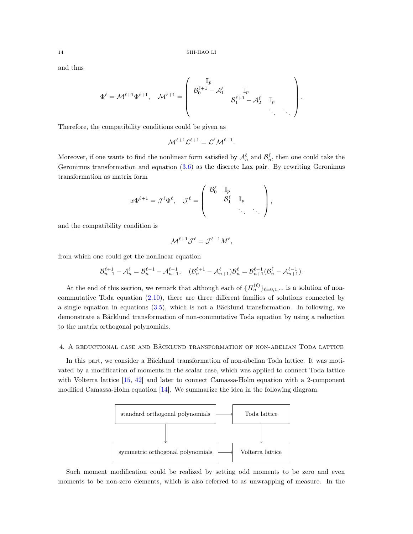and thus

$$
\Phi^{\ell} = \mathcal{M}^{\ell+1} \Phi^{\ell+1}, \quad \mathcal{M}^{\ell+1} = \left(\begin{array}{cccc} \mathbb{I}_p & & & \\ \mathcal{B}_0^{\ell+1} - \mathcal{A}_1^{\ell} & \mathbb{I}_p & & \\ & \mathcal{B}_1^{\ell+1} - \mathcal{A}_2^{\ell} & \mathbb{I}_p & \\ & & \ddots & \ddots \end{array}\right).
$$

Therefore, the compatibility conditions could be given as

$$
\mathcal{M}^{\ell+1}\mathcal{L}^{\ell+1}=\mathcal{L}^{\ell}\mathcal{M}^{\ell+1}.
$$

Moreover, if one wants to find the nonlinear form satisfied by  $\mathcal{A}_n^{\ell}$  and  $\mathcal{B}_n^{\ell}$ , then one could take the Geronimus transformation and equation [\(3.6\)](#page-12-2) as the discrete Lax pair. By rewriting Geronimus transformation as matrix form

$$
x\Phi^{\ell+1} = \mathcal{J}^{\ell}\Phi^{\ell}, \quad \mathcal{J}^{\ell} = \left( \begin{array}{cccc} \mathcal{B}_0^{\ell} & \mathbb{I}_p & & \\ & \mathcal{B}_1^{\ell} & \mathbb{I}_p & \\ & & \ddots & \ddots \end{array} \right),
$$

and the compatibility condition is

$$
\mathcal{M}^{\ell+1}\mathcal{J}^{\ell}=\mathcal{J}^{\ell-1}M^{\ell},
$$

from which one could get the nonlinear equation

$$
\mathcal{B}_{n-1}^{\ell+1}-\mathcal{A}_n^\ell=\mathcal{B}_n^{\ell-1}-\mathcal{A}_{n+1}^{\ell-1},\quad (\mathcal{B}_n^{\ell+1}-\mathcal{A}_{n+1}^\ell)\mathcal{B}_n^\ell=\mathcal{B}_{n+1}^{\ell-1}(\mathcal{B}_n^\ell-\mathcal{A}_{n+1}^{\ell-1}).
$$

At the end of this section, we remark that although each of  $\{H_n^{(\ell)}\}_{\ell=0,1,\cdots}$  is a solution of noncommutative Toda equation [\(2.10\)](#page-8-0), there are three different families of solutions connected by a single equation in equations [\(3.5\)](#page-12-3), which is not a Bäcklund transformation. In following, we demonstrate a Bäcklund transformation of non-commutative Toda equation by using a reduction to the matrix orthogonal polynomials.

## 4. A reductional case and Bäcklund transformation of non-abelian Toda lattice

In this part, we consider a Bäcklund transformation of non-abelian Toda lattice. It was motivated by a modification of moments in the scalar case, which was applied to connect Toda lattice with Volterra lattice [\[15](#page-19-18), [42](#page-20-13)] and later to connect Camassa-Holm equation with a 2-component modified Camassa-Holm equation [\[14\]](#page-19-19). We summarize the idea in the following diagram.



Such moment modification could be realized by setting odd moments to be zero and even moments to be non-zero elements, which is also referred to as unwrapping of measure. In the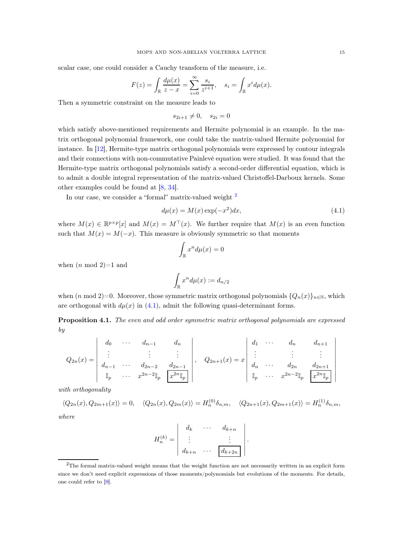scalar case, one could consider a Cauchy transform of the measure, i.e.

$$
F(z) = \int_{\mathbb{R}} \frac{d\mu(x)}{z - x} = \sum_{i=0}^{\infty} \frac{s_i}{z^{i+1}}, \quad s_i = \int_{\mathbb{R}} x^i d\mu(x).
$$

Then a symmetric constraint on the measure leads to

$$
s_{2i+1} \neq 0, \quad s_{2i} = 0
$$

which satisfy above-mentioned requirements and Hermite polynomial is an example. In the matrix orthogonal polynomial framework, one could take the matrix-valued Hermite polynomial for instance. In [\[12](#page-19-8)], Hermite-type matrix orthogonal polynomials were expressed by contour integrals and their connections with non-commutative Painlevé equation were studied. It was found that the Hermite-type matrix orthogonal polynomials satisfy a second-order differential equation, which is to admit a double integral representation of the matrix-valued Christoffel-Darboux kernels. Some other examples could be found at [\[8](#page-19-5), [34](#page-20-3)].

In our case, we consider a "formal" matrix-valued weight <sup>[2](#page-14-0)</sup>

$$
d\mu(x) = M(x) \exp(-x^2) dx,\tag{4.1}
$$

where  $M(x) \in \mathbb{R}^{p \times p}[x]$  and  $M(x) = M^{\top}(x)$ . We further require that  $M(x)$  is an even function such that  $M(x) = M(-x)$ . This measure is obviously symmetric so that moments

<span id="page-14-1"></span>
$$
\int_{\mathbb{R}} x^n d\mu(x) = 0
$$

when  $(n \mod 2)=1$  and

$$
\int_{\mathbb{R}} x^n d\mu(x) := d_{n/2}
$$

when  $(n \mod 2)=0$ . Moreover, those symmetric matrix orthogonal polynomials  $\{Q_n(x)\}_{n\in\mathbb{N}}$ , which are orthogonal with  $d\mu(x)$  in [\(4.1\)](#page-14-1), admit the following quasi-determinant forms.

**Proposition 4.1.** The even and odd order symmetric matrix orthogonal polynomials are expressed by

$$
Q_{2n}(x) = \begin{vmatrix} d_0 & \cdots & d_{n-1} & d_n \\ \vdots & & \vdots & \vdots \\ d_{n-1} & \cdots & d_{2n-2} & d_{2n-1} \\ \mathbb{I}_p & \cdots & x^{2n-2} \mathbb{I}_p & x^{2n} \mathbb{I}_p \end{vmatrix}, \quad Q_{2n+1}(x) = x \begin{vmatrix} d_1 & \cdots & d_n & d_{n+1} \\ \vdots & & \vdots & \vdots \\ d_n & \cdots & d_{2n} & d_{2n+1} \\ \mathbb{I}_p & \cdots & x^{2n-2} \mathbb{I}_p & x^{2n} \mathbb{I}_p \end{vmatrix}
$$

with orthogonality

$$
\langle Q_{2n}(x), Q_{2m+1}(x) \rangle = 0, \quad \langle Q_{2n}(x), Q_{2m}(x) \rangle = H_n^{(0)} \delta_{n,m}, \quad \langle Q_{2n+1}(x), Q_{2m+1}(x) \rangle = H_n^{(1)} \delta_{n,m},
$$

where

$$
H_n^{(k)} = \begin{vmatrix} d_k & \cdots & d_{k+n} \\ \vdots & & \vdots \\ d_{k+n} & \cdots & d_{k+2n} \end{vmatrix}.
$$

<span id="page-14-0"></span><sup>2</sup>The formal matrix-valued weight means that the weight function are not necessarily written in an explicit form since we don't need explicit expressions of those moments/polynomials but evolutions of the moments. For details, one could refer to [\[9\]](#page-19-15).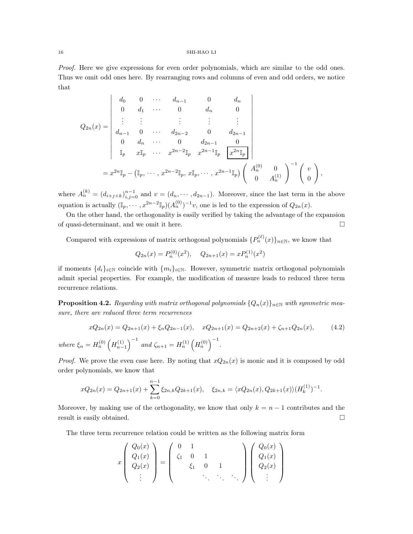Proof. Here we give expressions for even order polynomials, which are similar to the odd ones. Thus we omit odd ones here. By rearranging rows and columns of even and odd orders, we notice that

$$
Q_{2n}(x) = \begin{vmatrix} d_0 & 0 & \cdots & d_{n-1} & 0 & d_n \\ 0 & d_1 & \cdots & 0 & d_n & 0 \\ \vdots & \vdots & & \vdots & \vdots & \vdots \\ d_{n-1} & 0 & \cdots & d_{2n-2} & 0 & d_{2n-1} \\ 0 & d_n & \cdots & 0 & d_{2n-1} & 0 \\ \mathbb{I}_p & x\mathbb{I}_p & \cdots & x^{2n-2}\mathbb{I}_p & x^{2n-1}\mathbb{I}_p & \boxed{x^{2n}\mathbb{I}_p} \\ \end{vmatrix}
$$
  
=  $x^{2n}\mathbb{I}_p - (\mathbb{I}_p, \cdots, x^{2n-2}\mathbb{I}_p, x\mathbb{I}_p, \cdots, x^{2n-1}\mathbb{I}_p) \begin{pmatrix} A_n^{(0)} & 0 \\ 0 & A_n^{(1)} \end{pmatrix}^{-1} \begin{pmatrix} v \\ 0 \end{pmatrix},$ 

where  $A_n^{(k)} = (d_{i+j+k})_{i,j=0}^{n-1}$  and  $v = (d_n, \dots, d_{2n-1})$ . Moreover, since the last term in the above equation is actually  $(\mathbb{I}_p, \dots, x^{2n-2} \mathbb{I}_p) (A_n^{(0)})^{-1} v$ , one is led to the expression of  $Q_{2n}(x)$ .

On the other hand, the orthogonality is easily verified by taking the advantage of the expansion of quasi-determinant, and we omit it here.

Compared with expressions of matrix orthogonal polynomials  $\{P_n^{(\ell)}(x)\}_{n\in\mathbb{N}}$ , we know that

$$
Q_{2n}(x) = P_n^{(0)}(x^2), \quad Q_{2n+1}(x) = xP_n^{(1)}(x^2)
$$

if moments  $\{d_i\}_{i\in\mathbb{N}}$  coincide with  $\{m_i\}_{i\in\mathbb{N}}$ . However, symmetric matrix orthogonal polynomials admit special properties. For example, the modification of measure leads to reduced three term recurrence relations.

<span id="page-15-0"></span>**Proposition 4.2.** Regarding with matrix orthogonal polynomials  $\{Q_n(x)\}_{n\in\mathbb{N}}$  with symmetric measure, there are reduced three term recurrences

$$
xQ_{2n}(x) = Q_{2n+1}(x) + \xi_n Q_{2n-1}(x), \quad xQ_{2n+1}(x) = Q_{2n+2}(x) + \zeta_{n+1} Q_{2n}(x), \tag{4.2}
$$
  
where  $\xi_n = H_n^{(0)} \left( H_{n-1}^{(1)} \right)^{-1}$  and  $\zeta_{n+1} = H_n^{(1)} \left( H_n^{(0)} \right)^{-1}$ .

*Proof.* We prove the even case here. By noting that  $xQ_{2n}(x)$  is monic and it is composed by odd order polynomials, we know that

$$
xQ_{2n}(x) = Q_{2n+1}(x) + \sum_{k=0}^{n-1} \xi_{2n,k} Q_{2k+1}(x), \quad \xi_{2n,k} = \langle xQ_{2n}(x), Q_{2k+1}(x) \rangle (H_k^{(1)})^{-1}.
$$

Moreover, by making use of the orthogonality, we know that only  $k = n - 1$  contributes and the result is easily obtained.  $\square$ 

The three term recurrence relation could be written as the following matrix form

$$
x \begin{pmatrix} Q_0(x) \\ Q_1(x) \\ Q_2(x) \\ \vdots \end{pmatrix} = \begin{pmatrix} 0 & 1 \\ \zeta_1 & 0 & 1 \\ \zeta_1 & 0 & 1 \\ \vdots & \ddots & \ddots \end{pmatrix} \begin{pmatrix} Q_0(x) \\ Q_1(x) \\ Q_2(x) \\ \vdots \end{pmatrix}
$$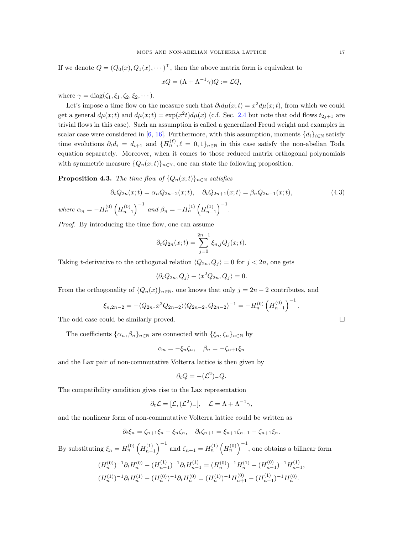If we denote  $Q = (Q_0(x), Q_1(x), \dots)^{\top}$ , then the above matrix form is equivalent to

$$
xQ = (\Lambda + \Lambda^{-1}\gamma)Q := \mathcal{L}Q,
$$

where  $\gamma = \text{diag}(\zeta_1, \xi_1, \zeta_2, \xi_2, \cdots)$ .

Let's impose a time flow on the measure such that  $\partial_t d\mu(x;t) = x^2 d\mu(x;t)$ , from which we could get a general  $d\mu(x;t)$  and  $d\mu(x;t) = \exp(x^2t) d\mu(x)$  (c.f. Sec. [2.4](#page-8-1) but note that odd flows  $t_{2j+1}$  are trivial flows in this case). Such an assumption is called a generalized Freud weight and examples in scalar case were considered in [\[6,](#page-18-5) [16](#page-19-20)]. Furthermore, with this assumption, moments  $\{d_i\}_{i\in\mathbb{N}}$  satisfy time evolutions  $\partial_t d_i = d_{i+1}$  and  $\{H_n^{(\ell)}, \ell = 0, 1\}_{n \in \mathbb{N}}$  in this case satisfy the non-abelian Toda equation separately. Moreover, when it comes to those reduced matrix orthogonal polynomials with symmetric measure  ${Q_n(x;t)}_{n\in\mathbb{N}}$ , one can state the following proposition.

**Proposition 4.3.** The time flow of  $\{Q_n(x;t)\}_{n\in\mathbb{N}}$  satisfies

$$
\partial_t Q_{2n}(x;t) = \alpha_n Q_{2n-2}(x;t), \quad \partial_t Q_{2n+1}(x;t) = \beta_n Q_{2n-1}(x;t),
$$
\n
$$
\text{where } \alpha_n = -H_n^{(0)} \left( H_{n-1}^{(0)} \right)^{-1} \text{ and } \beta_n = -H_n^{(1)} \left( H_{n-1}^{(1)} \right)^{-1}.
$$
\n
$$
(4.3)
$$

Proof. By introducing the time flow, one can assume

$$
\partial_t Q_{2n}(x;t) = \sum_{j=0}^{2n-1} \xi_{n,j} Q_j(x;t).
$$

Taking t-derivative to the orthogonal relation  $\langle Q_{2n}, Q_j \rangle = 0$  for  $j < 2n$ , one gets

$$
\langle \partial_t Q_{2n}, Q_j \rangle + \langle x^2 Q_{2n}, Q_j \rangle = 0.
$$

From the orthogonality of  $\{Q_n(x)\}_{n\in\mathbb{N}}$ , one knows that only  $j = 2n - 2$  contributes, and

$$
\xi_{n,2n-2} = -\langle Q_{2n}, x^2 Q_{2n-2} \rangle \langle Q_{2n-2}, Q_{2n-2} \rangle^{-1} = -H_n^{(0)} \left(H_{n-1}^{(0)}\right)^{-1}.
$$

The odd case could be similarly proved.

The coefficients  $\{\alpha_n, \beta_n\}_{n\in\mathbb{N}}$  are connected with  $\{\xi_n, \zeta_n\}_{n\in\mathbb{N}}$  by

$$
\alpha_n = -\xi_n \zeta_n, \quad \beta_n = -\zeta_{n+1} \xi_n
$$

and the Lax pair of non-commutative Volterra lattice is then given by

$$
\partial_t Q = -(\mathcal{L}^2)_- Q.
$$

The compatibility condition gives rise to the Lax representation

$$
\partial_t \mathcal{L} = [\mathcal{L}, (\mathcal{L}^2)_-], \quad \mathcal{L} = \Lambda + \Lambda^{-1} \gamma,
$$

and the nonlinear form of non-commutative Volterra lattice could be written as

$$
\partial_t \xi_n = \zeta_{n+1} \xi_n - \xi_n \zeta_n, \quad \partial_t \zeta_{n+1} = \xi_{n+1} \zeta_{n+1} - \zeta_{n+1} \xi_n.
$$

By substituting  $\xi_n = H_n^{(0)} \left( H_{n-1}^{(1)} \right)^{-1}$  and  $\zeta_{n+1} = H_n^{(1)} \left( H_n^{(0)} \right)^{-1}$ , one obtains a bilinear form

$$
(H_n^{(0)})^{-1}\partial_t H_n^{(0)} - (H_{n-1}^{(1)})^{-1}\partial_t H_{n-1}^{(1)} = (H_n^{(0)})^{-1}H_n^{(1)} - (H_{n-1}^{(0)})^{-1}H_{n-1}^{(1)},
$$
  

$$
(H_n^{(1)})^{-1}\partial_t H_n^{(1)} - (H_n^{(0)})^{-1}\partial_t H_n^{(0)} = (H_n^{(1)})^{-1}H_{n+1}^{(0)} - (H_{n-1}^{(1)})^{-1}H_n^{(0)}.
$$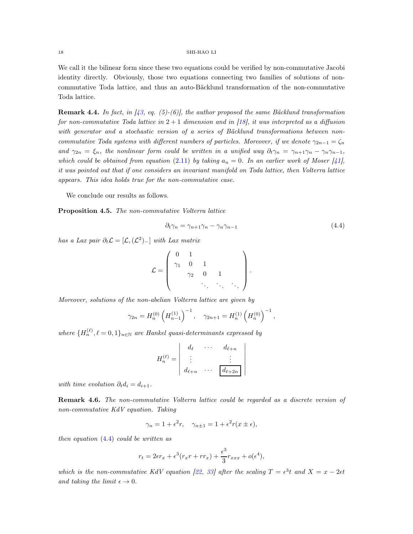We call it the bilinear form since these two equations could be verified by non-commutative Jacobi identity directly. Obviously, those two equations connecting two families of solutions of noncommutative Toda lattice, and thus an auto-Bäcklund transformation of the non-commutative Toda lattice.

**Remark 4.4.** In fact, in [\[43](#page-20-14), eq. (5)-(6)], the author proposed the same Bäcklund transformation for non-commutative Toda lattice in  $2+1$  dimension and in [\[18\]](#page-19-12), it was interpreted as a diffusion with generator and a stochastic version of a series of Bäcklund transformations between noncommutative Toda systems with different numbers of particles. Moreover, if we denote  $\gamma_{2n-1} = \zeta_n$ and  $\gamma_{2n} = \xi_n$ , the nonlinear form could be written in a unified way  $\partial_t \gamma_n = \gamma_{n+1} \gamma_n - \gamma_n \gamma_{n-1}$ , which could be obtained from equation [\(2.11\)](#page-9-0) by taking  $a_n = 0$ . In an earlier work of Moser [\[41](#page-20-15)], it was pointed out that if one considers an invariant manifold on Toda lattice, then Volterra lattice appears. This idea holds true for the non-commutative case.

We conclude our results as follows.

<span id="page-17-0"></span>Proposition 4.5. The non-commutative Volterra lattice

$$
\partial_t \gamma_n = \gamma_{n+1} \gamma_n - \gamma_n \gamma_{n-1} \tag{4.4}
$$

<span id="page-17-1"></span>.

has a Lax pair  $\partial_t \mathcal{L} = [\mathcal{L}, (\mathcal{L}^2)_-]$  with Lax matrix

$$
\mathcal{L} = \left( \begin{array}{cccc} 0 & 1 & & & \\ \gamma_1 & 0 & 1 & & \\ & \gamma_2 & 0 & 1 & \\ & & \ddots & \ddots & \ddots \end{array} \right)
$$

Moreover, solutions of the non-abelian Volterra lattice are given by

$$
\gamma_{2n} = H_n^{(0)} \left( H_{n-1}^{(1)} \right)^{-1}, \quad \gamma_{2n+1} = H_n^{(1)} \left( H_n^{(0)} \right)^{-1},
$$

where  ${H_n^{(\ell)}, \ell = 0, 1}_{n \in \mathbb{N}}$  are Hankel quasi-determinants expressed by

$$
H_n^{(\ell)} = \begin{vmatrix} d_{\ell} & \cdots & d_{\ell+n} \\ \vdots & & \vdots \\ d_{\ell+n} & \cdots & d_{\ell+2n} \end{vmatrix}
$$

with time evolution  $\partial_t d_i = d_{i+1}$ .

Remark 4.6. The non-commutative Volterra lattice could be regarded as a discrete version of non-commutative KdV equation. Taking

$$
\gamma_n = 1 + \epsilon^2 r, \quad \gamma_{n \pm 1} = 1 + \epsilon^2 r(x \pm \epsilon),
$$

then equation  $(4.4)$  could be written as

$$
r_t = 2\epsilon r_x + \epsilon^3 (r_x r + r r_x) + \frac{\epsilon^3}{3} r_{xxx} + o(\epsilon^4),
$$

which is the non-commutative KdV equation [\[22](#page-19-21), [33](#page-20-16)] after the scaling  $T = \epsilon^3 t$  and  $X = x - 2\epsilon t$ and taking the limit  $\epsilon \to 0$ .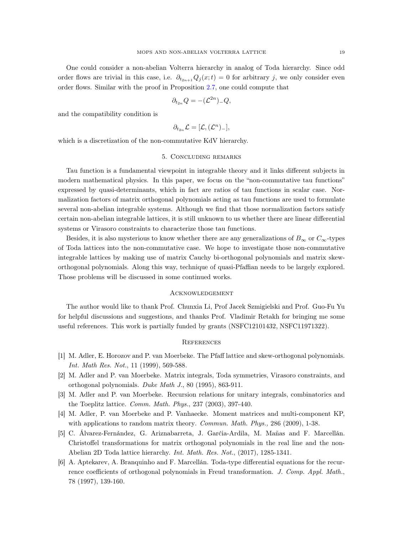One could consider a non-abelian Volterra hierarchy in analog of Toda hierarchy. Since odd order flows are trivial in this case, i.e.  $\partial_{t_{2n+1}}Q_j(x;t) = 0$  for arbitrary j, we only consider even order flows. Similar with the proof in Proposition [2.7,](#page-9-1) one could compute that

$$
\partial_{t_{2n}}Q = -(\mathcal{L}^{2n})_Q,
$$

and the compatibility condition is

$$
\partial_{t_{2n}}\mathcal{L}=[\mathcal{L},(\mathcal{L}^n)_-],
$$

which is a discretization of the non-commutative KdV hierarchy.

# 5. Concluding remarks

Tau function is a fundamental viewpoint in integrable theory and it links different subjects in modern mathematical physics. In this paper, we focus on the "non-commutative tau functions" expressed by quasi-determinants, which in fact are ratios of tau functions in scalar case. Normalization factors of matrix orthogonal polynomials acting as tau functions are used to formulate several non-abelian integrable systems. Although we find that those normalization factors satisfy certain non-abelian integrable lattices, it is still unknown to us whether there are linear differential systems or Virasoro constraints to characterize those tau functions.

Besides, it is also mysterious to know whether there are any generalizations of  $B_{\infty}$  or  $C_{\infty}$ -types of Toda lattices into the non-commutative case. We hope to investigate those non-commutative integrable lattices by making use of matrix Cauchy bi-orthogonal polynomials and matrix skeworthogonal polynomials. Along this way, technique of quasi-Pfaffian needs to be largely explored. Those problems will be discussed in some continued works.

### Acknowledgement

The author would like to thank Prof. Chunxia Li, Prof Jacek Szmigielski and Prof. Guo-Fu Yu for helpful discussions and suggestions, and thanks Prof. Vladimir Retakh for bringing me some useful references. This work is partially funded by grants (NSFC12101432, NSFC11971322).

# **REFERENCES**

- <span id="page-18-1"></span>[1] M. Adler, E. Horozov and P. van Moerbeke. The Pfaff lattice and skew-orthogonal polynomials. Int. Math Res. Not., 11 (1999), 569-588.
- <span id="page-18-0"></span>[2] M. Adler and P. van Moerbeke. Matrix integrals, Toda symmetries, Virasoro constraints, and orthogonal polynomials. Duke Math J., 80 (1995), 863-911.
- <span id="page-18-2"></span>[3] M. Adler and P. van Moerbeke. Recursion relations for unitary integrals, combinatorics and the Toeplitz lattice. Comm. Math. Phys., 237 (2003), 397-440.
- <span id="page-18-3"></span>[4] M. Adler, P. van Moerbeke and P. Vanhaecke. Moment matrices and multi-component KP, with applications to random matrix theory. *Commun. Math. Phys.*, 286 (2009), 1-38.
- <span id="page-18-4"></span>[5] C. Álvarez-Fernández, G. Ariznabarreta, J. Garćia-Ardila, M. Mañas and F. Marcellán. Christoffel transformations for matrix orthogonal polynomials in the real line and the non-Abelian 2D Toda lattice hierarchy. Int. Math. Res. Not., (2017), 1285-1341.
- <span id="page-18-5"></span>[6] A. Aptekarev, A. Branquinho and F. Marcellán. Toda-type differential equations for the recurrence coefficients of orthogonal polynomials in Freud transformation. J. Comp. Appl. Math., 78 (1997), 139-160.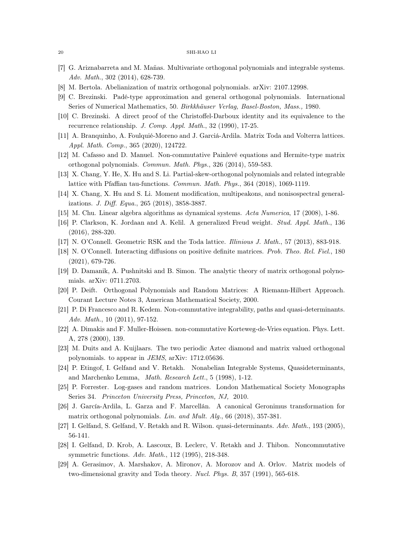- <span id="page-19-4"></span>[7] G. Ariznabarreta and M. Mañas. Multivariate orthogonal polynomials and integrable systems. Adv. Math., 302 (2014), 628-739.
- <span id="page-19-5"></span>[8] M. Bertola. Abelianization of matrix orthogonal polynomials. arXiv: 2107.12998.
- <span id="page-19-15"></span>[9] C. Brezinski. Padé-type approximation and general orthogonal polynomials. International Series of Numerical Mathematics, 50. Birkkhäuser Verlag, Basel-Boston, Mass., 1980.
- <span id="page-19-16"></span>[10] C. Brezinski. A direct proof of the Christoffel-Darboux identity and its equivalence to the recurrence relationship. J. Comp. Appl. Math., 32 (1990), 17-25.
- <span id="page-19-7"></span>[11] A. Branquinho, A. Foulquié-Moreno and J. Garciá-Ardila. Matrix Toda and Volterra lattices. Appl. Math. Comp., 365 (2020), 124722.
- <span id="page-19-8"></span>[12] M. Cafasso and D. Manuel. Non-commutative Painlevé equations and Hermite-type matrix orthogonal polynomials. Commun. Math. Phys., 326 (2014), 559-583.
- <span id="page-19-3"></span>[13] X. Chang, Y. He, X. Hu and S. Li. Partial-skew-orthogonal polynomials and related integrable lattice with Pfaffian tau-functions. Commun. Math. Phys., 364 (2018), 1069-1119.
- <span id="page-19-19"></span>[14] X. Chang, X. Hu and S. Li. Moment modification, multipeakons, and nonisospectral generalizations. J. Diff. Equa., 265 (2018), 3858-3887.
- <span id="page-19-18"></span>[15] M. Chu. Linear algebra algorithms as dynamical systems. Acta Numerica, 17 (2008), 1-86.
- <span id="page-19-20"></span>[16] P. Clarkson, K. Jordaan and A. Kelil. A generalized Freud weight. Stud. Appl. Math., 136 (2016), 288-320.
- [17] N. O'Connell. Geometric RSK and the Toda lattice. Illinious J. Math., 57 (2013), 883-918.
- <span id="page-19-12"></span>[18] N. O'Connell. Interacting diffusions on positive definite matrices. Prob. Theo. Rel. Fiel., 180 (2021), 679-726.
- <span id="page-19-13"></span>[19] D. Damanik, A. Pushnitski and B. Simon. The analytic theory of matrix orthogonal polynomials. arXiv: 0711.2703.
- <span id="page-19-0"></span>[20] P. Deift. Orthogonal Polynomials and Random Matrices: A Riemann-Hilbert Approach. Courant Lecture Notes 3, American Mathematical Society, 2000.
- <span id="page-19-11"></span>[21] P. Di Francesco and R. Kedem. Non-commutative integrability, paths and quasi-determinants. Adv. Math., 10 (2011), 97-152.
- <span id="page-19-21"></span>[22] A. Dimakis and F. Muller-Hoissen. non-commutative Korteweg-de-Vries equation. Phys. Lett. A, 278 (2000), 139.
- <span id="page-19-6"></span>[23] M. Duits and A. Kuijlaars. The two periodic Aztec diamond and matrix valued orthogonal polynomials. to appear in JEMS, arXiv: 1712.05636.
- <span id="page-19-10"></span>[24] P. Etingof, I. Gelfand and V. Retakh. Nonabelian Integrable Systems, Quasideterminants, and Marchenko Lemma, Math. Research Lett., 5 (1998), 1-12.
- <span id="page-19-1"></span>[25] P. Forrester. Log-gases and random matrices. London Mathematical Society Monographs Series 34. Princeton University Press, Princeton, NJ, 2010.
- <span id="page-19-17"></span>[26] J. García-Ardila, L. Garza and F. Marcellán. A canonical Geronimus transformation for matrix orthogonal polynomials. Lin. and Mult. Alg., 66 (2018), 357-381.
- <span id="page-19-9"></span>[27] I. Gelfand, S. Gelfand, V. Retakh and R. Wilson. quasi-determinants. Adv. Math., 193 (2005), 56-141.
- <span id="page-19-14"></span>[28] I. Gelfand, D. Krob, A. Lascoux, B. Leclerc, V. Retakh and J. Thibon. Noncommutative symmetric functions. Adv. Math., 112 (1995), 218-348.
- <span id="page-19-2"></span>[29] A. Gerasimov, A. Marshakov, A. Mironov, A. Morozov and A. Orlov. Matrix models of two-dimensional gravity and Toda theory. Nucl. Phys. B, 357 (1991), 565-618.